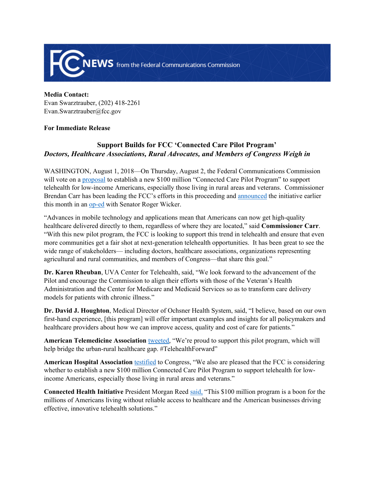

**Media Contact:** Evan Swarztrauber, (202) 418-2261 Evan.Swarztrauber@fcc.gov

## **For Immediate Release**

## **Support Builds for FCC 'Connected Care Pilot Program'** *Doctors, Healthcare Associations, Rural Advocates, and Members of Congress Weigh in*

WASHINGTON, August 1, 2018—On Thursday, August 2, the Federal Communications Commission will vote on a [proposal](https://docs.fcc.gov/public/attachments/DOC-352540A1.pdf) to establish a new \$100 million "Connected Care Pilot Program" to support telehealth for low-income Americans, especially those living in rural areas and veterans. Commissioner Brendan Carr has been leading the FCC's efforts in this proceeding and [announced](https://docs.fcc.gov/public/attachments/DOC-352472A1.pdf) the initiative earlier this month in an [op-ed](https://www.clarionledger.com/story/opinion/columnists/2018/07/11/telehealth-pilot-program-improve-health-outcomes-reduce-costs/774782002/) with Senator Roger Wicker.

"Advances in mobile technology and applications mean that Americans can now get high-quality healthcare delivered directly to them, regardless of where they are located," said **Commissioner Carr**. "With this new pilot program, the FCC is looking to support this trend in telehealth and ensure that even more communities get a fair shot at next-generation telehealth opportunities. It has been great to see the wide range of stakeholders— including doctors, healthcare associations, organizations representing agricultural and rural communities, and members of Congress—that share this goal."

**Dr. Karen Rheuban**, UVA Center for Telehealth, said, "We look forward to the advancement of the Pilot and encourage the Commission to align their efforts with those of the Veteran's Health Administration and the Center for Medicare and Medicaid Services so as to transform care delivery models for patients with chronic illness."

**Dr. David J. Houghton**, Medical Director of Ochsner Health System, said, "I believe, based on our own first-hand experience, [this program] will offer important examples and insights for all policymakers and healthcare providers about how we can improve access, quality and cost of care for patients."

**American Telemedicine Association** [tweeted,](https://twitter.com/AmericanTelemed/status/1019679910946885633) "We're proud to support this pilot program, which will help bridge the urban-rural healthcare gap. #TelehealthForward"

**American Hospital Association** [testified](https://www.aha.org/system/files/2018-07/180717-statement-rural-broadband.pdf) to Congress, "We also are pleased that the FCC is considering whether to establish a new \$100 million Connected Care Pilot Program to support telehealth for lowincome Americans, especially those living in rural areas and veterans."

**Connected Health Initiative** President Morgan Reed [said](http://www.connectedhi.com/blog/2018/7/11/the-connected-health-initiative-applauds-the-fccs-new-connected-care-pilot-program), "This \$100 million program is a boon for the millions of Americans living without reliable access to healthcare and the American businesses driving effective, innovative telehealth solutions."